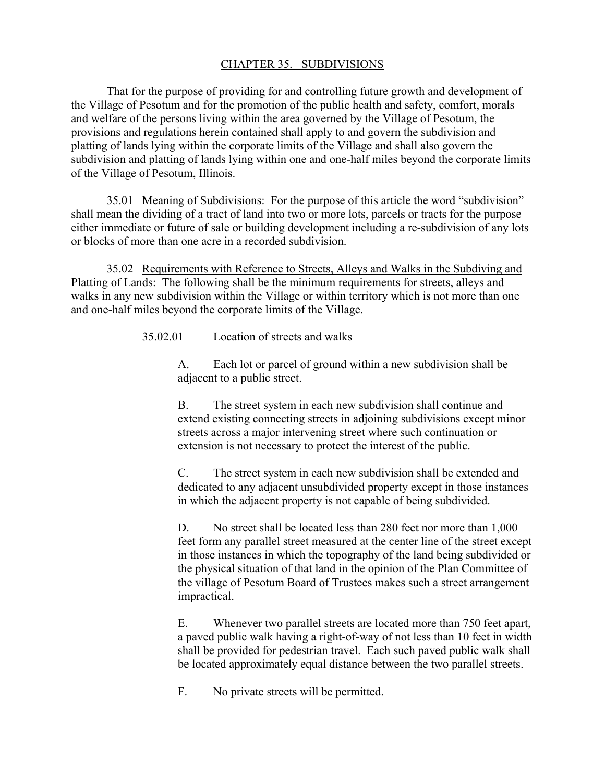### CHAPTER 35. SUBDIVISIONS

 That for the purpose of providing for and controlling future growth and development of the Village of Pesotum and for the promotion of the public health and safety, comfort, morals and welfare of the persons living within the area governed by the Village of Pesotum, the provisions and regulations herein contained shall apply to and govern the subdivision and platting of lands lying within the corporate limits of the Village and shall also govern the subdivision and platting of lands lying within one and one-half miles beyond the corporate limits of the Village of Pesotum, Illinois.

35.01 Meaning of Subdivisions: For the purpose of this article the word "subdivision" shall mean the dividing of a tract of land into two or more lots, parcels or tracts for the purpose either immediate or future of sale or building development including a re-subdivision of any lots or blocks of more than one acre in a recorded subdivision.

35.02 Requirements with Reference to Streets, Alleys and Walks in the Subdiving and Platting of Lands: The following shall be the minimum requirements for streets, alleys and walks in any new subdivision within the Village or within territory which is not more than one and one-half miles beyond the corporate limits of the Village.

35.02.01 Location of streets and walks

A. Each lot or parcel of ground within a new subdivision shall be adjacent to a public street.

B. The street system in each new subdivision shall continue and extend existing connecting streets in adjoining subdivisions except minor streets across a major intervening street where such continuation or extension is not necessary to protect the interest of the public.

C. The street system in each new subdivision shall be extended and dedicated to any adjacent unsubdivided property except in those instances in which the adjacent property is not capable of being subdivided.

D. No street shall be located less than 280 feet nor more than 1,000 feet form any parallel street measured at the center line of the street except in those instances in which the topography of the land being subdivided or the physical situation of that land in the opinion of the Plan Committee of the village of Pesotum Board of Trustees makes such a street arrangement impractical.

E. Whenever two parallel streets are located more than 750 feet apart, a paved public walk having a right-of-way of not less than 10 feet in width shall be provided for pedestrian travel. Each such paved public walk shall be located approximately equal distance between the two parallel streets.

F. No private streets will be permitted.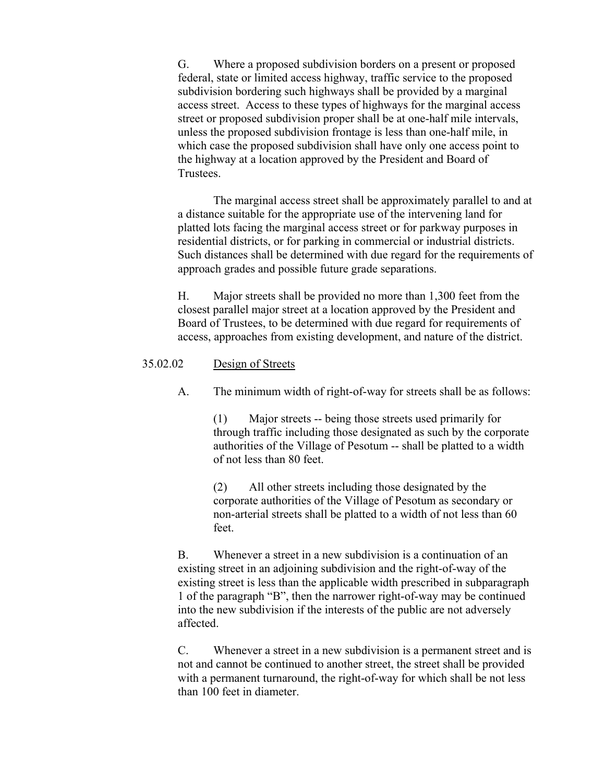G. Where a proposed subdivision borders on a present or proposed federal, state or limited access highway, traffic service to the proposed subdivision bordering such highways shall be provided by a marginal access street. Access to these types of highways for the marginal access street or proposed subdivision proper shall be at one-half mile intervals, unless the proposed subdivision frontage is less than one-half mile, in which case the proposed subdivision shall have only one access point to the highway at a location approved by the President and Board of Trustees.

The marginal access street shall be approximately parallel to and at a distance suitable for the appropriate use of the intervening land for platted lots facing the marginal access street or for parkway purposes in residential districts, or for parking in commercial or industrial districts. Such distances shall be determined with due regard for the requirements of approach grades and possible future grade separations.

H. Major streets shall be provided no more than 1,300 feet from the closest parallel major street at a location approved by the President and Board of Trustees, to be determined with due regard for requirements of access, approaches from existing development, and nature of the district.

# 35.02.02 Design of Streets

A. The minimum width of right-of-way for streets shall be as follows:

(1) Major streets -- being those streets used primarily for through traffic including those designated as such by the corporate authorities of the Village of Pesotum -- shall be platted to a width of not less than 80 feet.

(2) All other streets including those designated by the corporate authorities of the Village of Pesotum as secondary or non-arterial streets shall be platted to a width of not less than 60 feet.

B. Whenever a street in a new subdivision is a continuation of an existing street in an adjoining subdivision and the right-of-way of the existing street is less than the applicable width prescribed in subparagraph 1 of the paragraph "B", then the narrower right-of-way may be continued into the new subdivision if the interests of the public are not adversely affected.

C. Whenever a street in a new subdivision is a permanent street and is not and cannot be continued to another street, the street shall be provided with a permanent turnaround, the right-of-way for which shall be not less than 100 feet in diameter.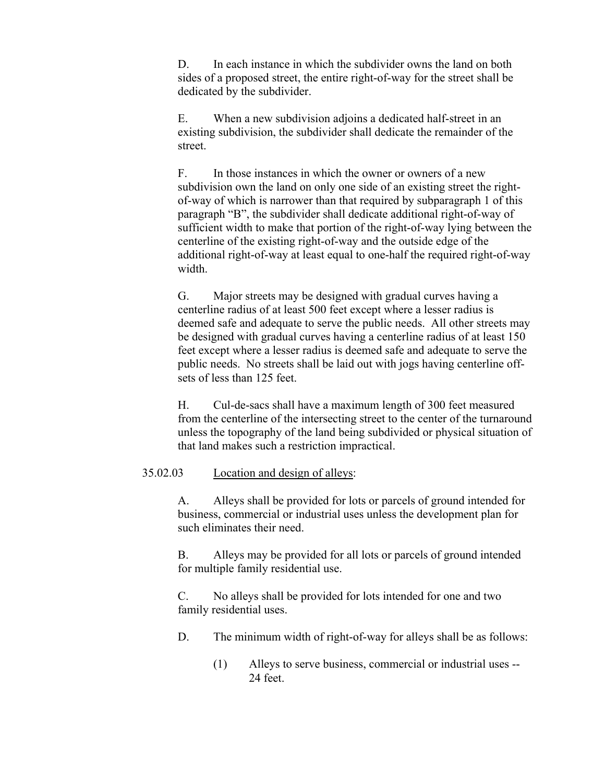D. In each instance in which the subdivider owns the land on both sides of a proposed street, the entire right-of-way for the street shall be dedicated by the subdivider.

E. When a new subdivision adjoins a dedicated half-street in an existing subdivision, the subdivider shall dedicate the remainder of the street.

F. In those instances in which the owner or owners of a new subdivision own the land on only one side of an existing street the rightof-way of which is narrower than that required by subparagraph 1 of this paragraph "B", the subdivider shall dedicate additional right-of-way of sufficient width to make that portion of the right-of-way lying between the centerline of the existing right-of-way and the outside edge of the additional right-of-way at least equal to one-half the required right-of-way width.

G. Major streets may be designed with gradual curves having a centerline radius of at least 500 feet except where a lesser radius is deemed safe and adequate to serve the public needs. All other streets may be designed with gradual curves having a centerline radius of at least 150 feet except where a lesser radius is deemed safe and adequate to serve the public needs. No streets shall be laid out with jogs having centerline offsets of less than 125 feet.

H. Cul-de-sacs shall have a maximum length of 300 feet measured from the centerline of the intersecting street to the center of the turnaround unless the topography of the land being subdivided or physical situation of that land makes such a restriction impractical.

# 35.02.03 Location and design of alleys:

A. Alleys shall be provided for lots or parcels of ground intended for business, commercial or industrial uses unless the development plan for such eliminates their need.

B. Alleys may be provided for all lots or parcels of ground intended for multiple family residential use.

C. No alleys shall be provided for lots intended for one and two family residential uses.

D. The minimum width of right-of-way for alleys shall be as follows:

(1) Alleys to serve business, commercial or industrial uses -- 24 feet.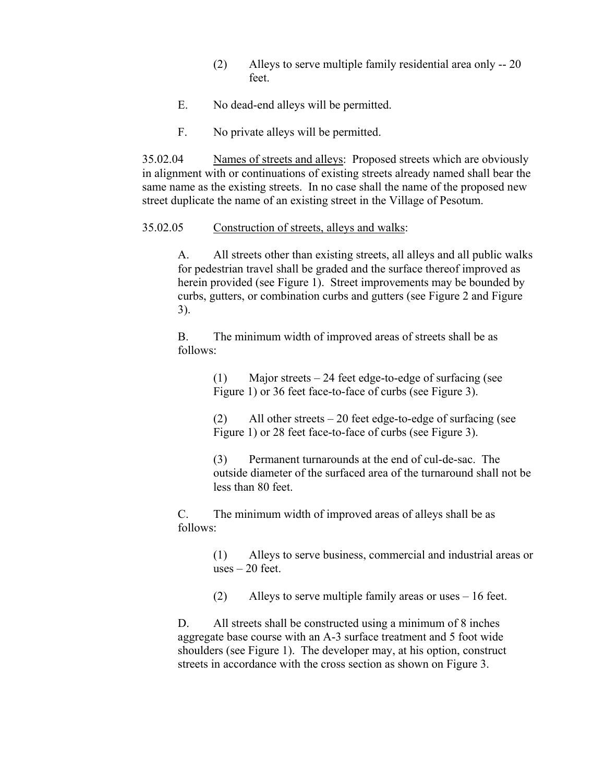- (2) Alleys to serve multiple family residential area only -- 20 feet.
- E. No dead-end alleys will be permitted.
- F. No private alleys will be permitted.

35.02.04 Names of streets and alleys: Proposed streets which are obviously in alignment with or continuations of existing streets already named shall bear the same name as the existing streets. In no case shall the name of the proposed new street duplicate the name of an existing street in the Village of Pesotum.

### 35.02.05 Construction of streets, alleys and walks:

A. All streets other than existing streets, all alleys and all public walks for pedestrian travel shall be graded and the surface thereof improved as herein provided (see Figure 1). Street improvements may be bounded by curbs, gutters, or combination curbs and gutters (see Figure 2 and Figure 3).

B. The minimum width of improved areas of streets shall be as follows:

> (1) Major streets – 24 feet edge-to-edge of surfacing (see Figure 1) or 36 feet face-to-face of curbs (see Figure 3).

(2) All other streets – 20 feet edge-to-edge of surfacing (see Figure 1) or 28 feet face-to-face of curbs (see Figure 3).

(3) Permanent turnarounds at the end of cul-de-sac. The outside diameter of the surfaced area of the turnaround shall not be less than 80 feet.

C. The minimum width of improved areas of alleys shall be as follows:

> (1) Alleys to serve business, commercial and industrial areas or uses  $-20$  feet.

(2) Alleys to serve multiple family areas or uses – 16 feet.

D. All streets shall be constructed using a minimum of 8 inches aggregate base course with an A-3 surface treatment and 5 foot wide shoulders (see Figure 1). The developer may, at his option, construct streets in accordance with the cross section as shown on Figure 3.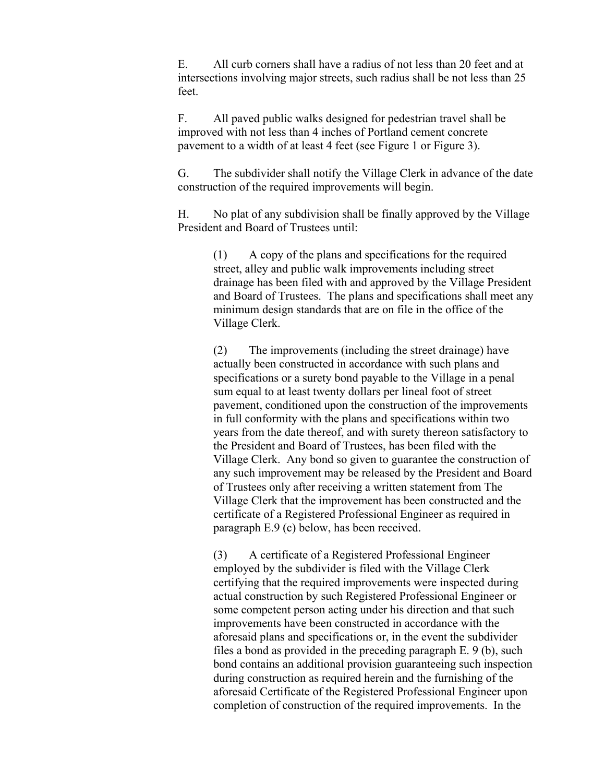E. All curb corners shall have a radius of not less than 20 feet and at intersections involving major streets, such radius shall be not less than 25 feet.

F. All paved public walks designed for pedestrian travel shall be improved with not less than 4 inches of Portland cement concrete pavement to a width of at least 4 feet (see Figure 1 or Figure 3).

G. The subdivider shall notify the Village Clerk in advance of the date construction of the required improvements will begin.

H. No plat of any subdivision shall be finally approved by the Village President and Board of Trustees until:

(1) A copy of the plans and specifications for the required street, alley and public walk improvements including street drainage has been filed with and approved by the Village President and Board of Trustees. The plans and specifications shall meet any minimum design standards that are on file in the office of the Village Clerk.

(2) The improvements (including the street drainage) have actually been constructed in accordance with such plans and specifications or a surety bond payable to the Village in a penal sum equal to at least twenty dollars per lineal foot of street pavement, conditioned upon the construction of the improvements in full conformity with the plans and specifications within two years from the date thereof, and with surety thereon satisfactory to the President and Board of Trustees, has been filed with the Village Clerk. Any bond so given to guarantee the construction of any such improvement may be released by the President and Board of Trustees only after receiving a written statement from The Village Clerk that the improvement has been constructed and the certificate of a Registered Professional Engineer as required in paragraph E.9 (c) below, has been received.

(3) A certificate of a Registered Professional Engineer employed by the subdivider is filed with the Village Clerk certifying that the required improvements were inspected during actual construction by such Registered Professional Engineer or some competent person acting under his direction and that such improvements have been constructed in accordance with the aforesaid plans and specifications or, in the event the subdivider files a bond as provided in the preceding paragraph E. 9 (b), such bond contains an additional provision guaranteeing such inspection during construction as required herein and the furnishing of the aforesaid Certificate of the Registered Professional Engineer upon completion of construction of the required improvements. In the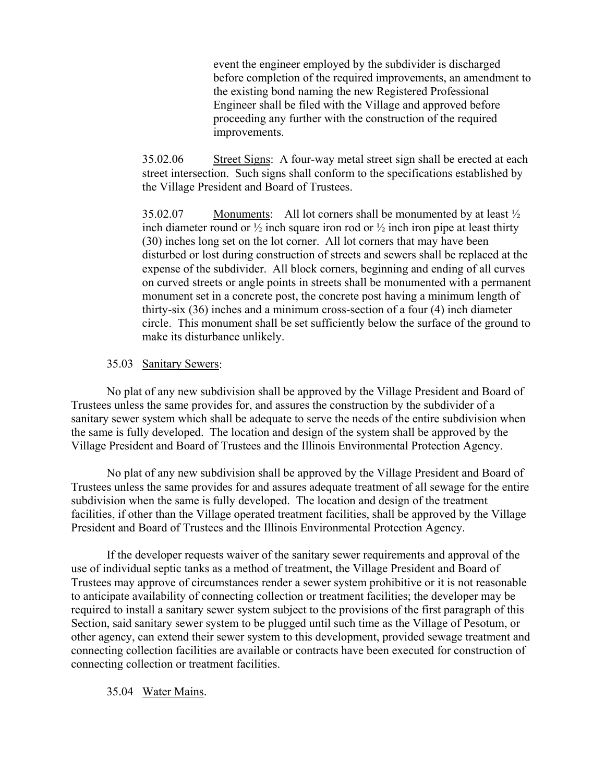event the engineer employed by the subdivider is discharged before completion of the required improvements, an amendment to the existing bond naming the new Registered Professional Engineer shall be filed with the Village and approved before proceeding any further with the construction of the required improvements.

35.02.06 Street Signs: A four-way metal street sign shall be erected at each street intersection. Such signs shall conform to the specifications established by the Village President and Board of Trustees.

35.02.07 Monuments: All lot corners shall be monumented by at least  $\frac{1}{2}$ inch diameter round or  $\frac{1}{2}$  inch square iron rod or  $\frac{1}{2}$  inch iron pipe at least thirty (30) inches long set on the lot corner. All lot corners that may have been disturbed or lost during construction of streets and sewers shall be replaced at the expense of the subdivider. All block corners, beginning and ending of all curves on curved streets or angle points in streets shall be monumented with a permanent monument set in a concrete post, the concrete post having a minimum length of thirty-six (36) inches and a minimum cross-section of a four (4) inch diameter circle. This monument shall be set sufficiently below the surface of the ground to make its disturbance unlikely.

# 35.03 Sanitary Sewers:

No plat of any new subdivision shall be approved by the Village President and Board of Trustees unless the same provides for, and assures the construction by the subdivider of a sanitary sewer system which shall be adequate to serve the needs of the entire subdivision when the same is fully developed. The location and design of the system shall be approved by the Village President and Board of Trustees and the Illinois Environmental Protection Agency.

No plat of any new subdivision shall be approved by the Village President and Board of Trustees unless the same provides for and assures adequate treatment of all sewage for the entire subdivision when the same is fully developed. The location and design of the treatment facilities, if other than the Village operated treatment facilities, shall be approved by the Village President and Board of Trustees and the Illinois Environmental Protection Agency.

If the developer requests waiver of the sanitary sewer requirements and approval of the use of individual septic tanks as a method of treatment, the Village President and Board of Trustees may approve of circumstances render a sewer system prohibitive or it is not reasonable to anticipate availability of connecting collection or treatment facilities; the developer may be required to install a sanitary sewer system subject to the provisions of the first paragraph of this Section, said sanitary sewer system to be plugged until such time as the Village of Pesotum, or other agency, can extend their sewer system to this development, provided sewage treatment and connecting collection facilities are available or contracts have been executed for construction of connecting collection or treatment facilities.

### 35.04 Water Mains.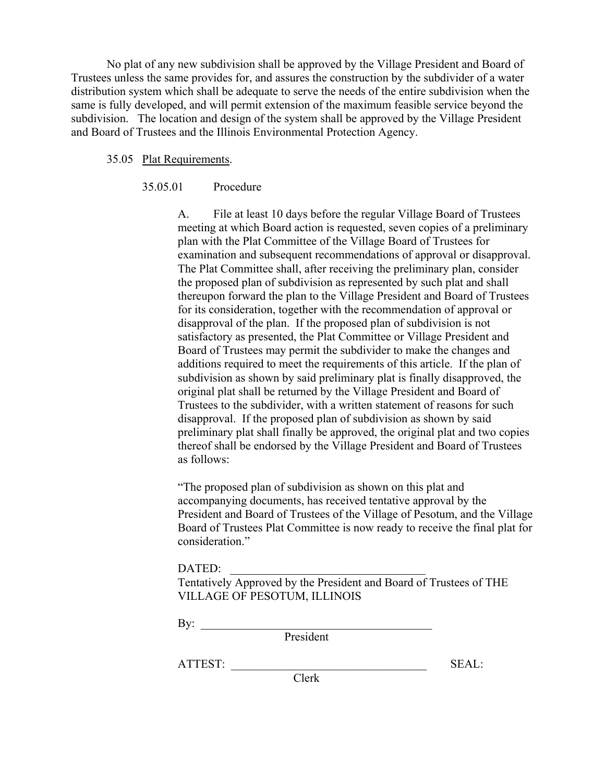No plat of any new subdivision shall be approved by the Village President and Board of Trustees unless the same provides for, and assures the construction by the subdivider of a water distribution system which shall be adequate to serve the needs of the entire subdivision when the same is fully developed, and will permit extension of the maximum feasible service beyond the subdivision. The location and design of the system shall be approved by the Village President and Board of Trustees and the Illinois Environmental Protection Agency.

### 35.05 Plat Requirements.

### 35.05.01 Procedure

A. File at least 10 days before the regular Village Board of Trustees meeting at which Board action is requested, seven copies of a preliminary plan with the Plat Committee of the Village Board of Trustees for examination and subsequent recommendations of approval or disapproval. The Plat Committee shall, after receiving the preliminary plan, consider the proposed plan of subdivision as represented by such plat and shall thereupon forward the plan to the Village President and Board of Trustees for its consideration, together with the recommendation of approval or disapproval of the plan. If the proposed plan of subdivision is not satisfactory as presented, the Plat Committee or Village President and Board of Trustees may permit the subdivider to make the changes and additions required to meet the requirements of this article. If the plan of subdivision as shown by said preliminary plat is finally disapproved, the original plat shall be returned by the Village President and Board of Trustees to the subdivider, with a written statement of reasons for such disapproval. If the proposed plan of subdivision as shown by said preliminary plat shall finally be approved, the original plat and two copies thereof shall be endorsed by the Village President and Board of Trustees as follows:

"The proposed plan of subdivision as shown on this plat and accompanying documents, has received tentative approval by the President and Board of Trustees of the Village of Pesotum, and the Village Board of Trustees Plat Committee is now ready to receive the final plat for consideration."

### DATED:

Tentatively Approved by the President and Board of Trustees of THE VILLAGE OF PESOTUM, ILLINOIS

| D<br><u>.</u> |
|---------------|
|---------------|

President

ATTEST: \_\_\_\_\_\_\_\_\_\_\_\_\_\_\_\_\_\_\_\_\_\_\_\_\_\_\_\_\_\_\_\_\_ SEAL:

Clerk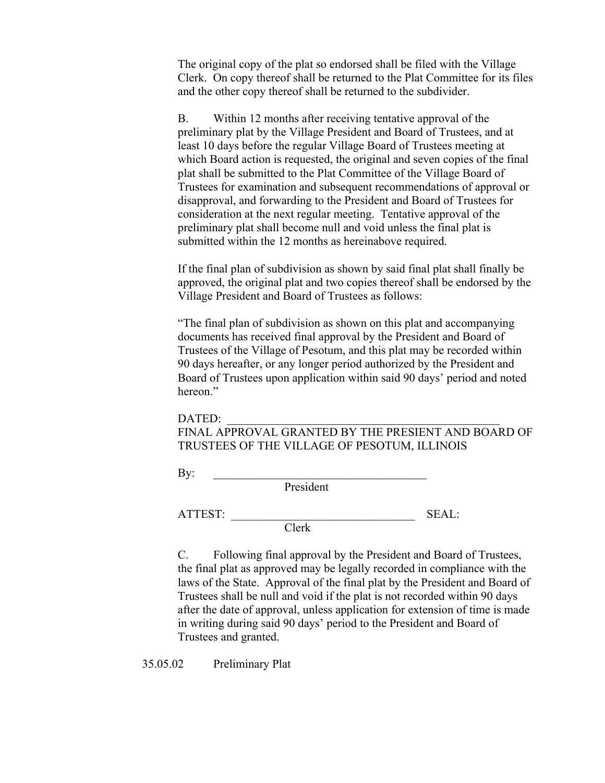The original copy of the plat so endorsed shall be filed with the Village Clerk. On copy thereof shall be returned to the Plat Committee for its files and the other copy thereof shall be returned to the subdivider.

B. Within 12 months after receiving tentative approval of the preliminary plat by the Village President and Board of Trustees, and at least 10 days before the regular Village Board of Trustees meeting at which Board action is requested, the original and seven copies of the final plat shall be submitted to the Plat Committee of the Village Board of Trustees for examination and subsequent recommendations of approval or disapproval, and forwarding to the President and Board of Trustees for consideration at the next regular meeting. Tentative approval of the preliminary plat shall become null and void unless the final plat is submitted within the 12 months as hereinabove required.

If the final plan of subdivision as shown by said final plat shall finally be approved, the original plat and two copies thereof shall be endorsed by the Village President and Board of Trustees as follows:

"The final plan of subdivision as shown on this plat and accompanying documents has received final approval by the President and Board of Trustees of the Village of Pesotum, and this plat may be recorded within 90 days hereafter, or any longer period authorized by the President and Board of Trustees upon application within said 90 days' period and noted hereon."

### DATED:

FINAL APPROVAL GRANTED BY THE PRESIENT AND BOARD OF TRUSTEES OF THE VILLAGE OF PESOTUM, ILLINOIS

 $\mathbf{By:}$ 

President

Clerk

ATTEST: SEAL:

C. Following final approval by the President and Board of Trustees, the final plat as approved may be legally recorded in compliance with the laws of the State. Approval of the final plat by the President and Board of Trustees shall be null and void if the plat is not recorded within 90 days after the date of approval, unless application for extension of time is made in writing during said 90 days' period to the President and Board of Trustees and granted.

35.05.02 Preliminary Plat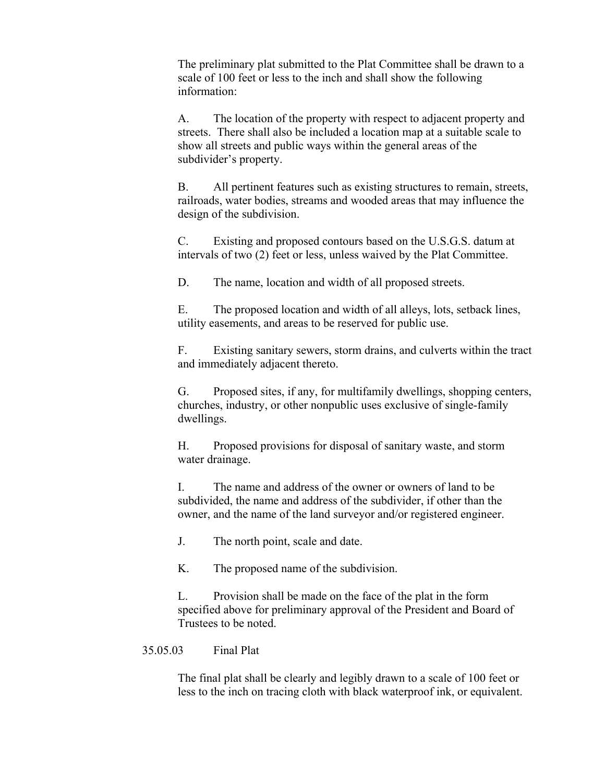The preliminary plat submitted to the Plat Committee shall be drawn to a scale of 100 feet or less to the inch and shall show the following information:

A. The location of the property with respect to adjacent property and streets. There shall also be included a location map at a suitable scale to show all streets and public ways within the general areas of the subdivider's property.

B. All pertinent features such as existing structures to remain, streets, railroads, water bodies, streams and wooded areas that may influence the design of the subdivision.

C. Existing and proposed contours based on the U.S.G.S. datum at intervals of two (2) feet or less, unless waived by the Plat Committee.

D. The name, location and width of all proposed streets.

E. The proposed location and width of all alleys, lots, setback lines, utility easements, and areas to be reserved for public use.

F. Existing sanitary sewers, storm drains, and culverts within the tract and immediately adjacent thereto.

G. Proposed sites, if any, for multifamily dwellings, shopping centers, churches, industry, or other nonpublic uses exclusive of single-family dwellings.

H. Proposed provisions for disposal of sanitary waste, and storm water drainage.

I. The name and address of the owner or owners of land to be subdivided, the name and address of the subdivider, if other than the owner, and the name of the land surveyor and/or registered engineer.

J. The north point, scale and date.

K. The proposed name of the subdivision.

L. Provision shall be made on the face of the plat in the form specified above for preliminary approval of the President and Board of Trustees to be noted.

### 35.05.03 Final Plat

The final plat shall be clearly and legibly drawn to a scale of 100 feet or less to the inch on tracing cloth with black waterproof ink, or equivalent.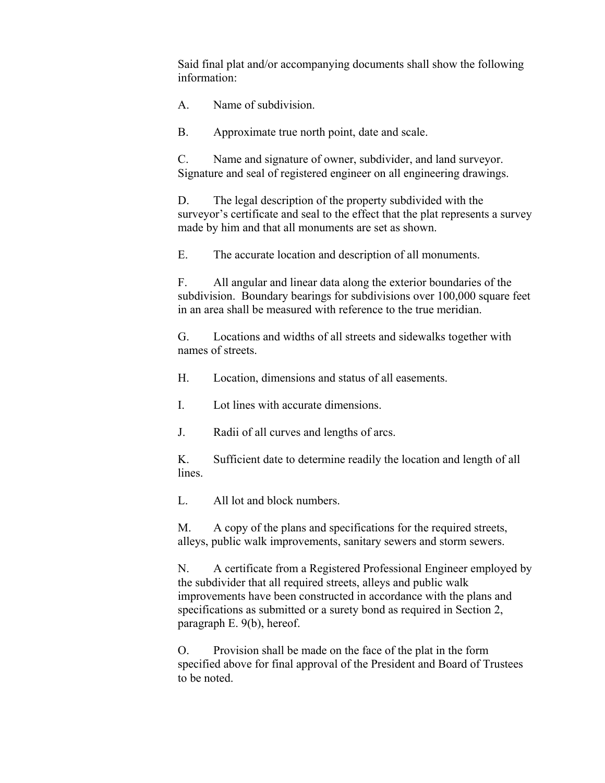Said final plat and/or accompanying documents shall show the following information:

A. Name of subdivision.

B. Approximate true north point, date and scale.

C. Name and signature of owner, subdivider, and land surveyor. Signature and seal of registered engineer on all engineering drawings.

D. The legal description of the property subdivided with the surveyor's certificate and seal to the effect that the plat represents a survey made by him and that all monuments are set as shown.

E. The accurate location and description of all monuments.

F. All angular and linear data along the exterior boundaries of the subdivision. Boundary bearings for subdivisions over 100,000 square feet in an area shall be measured with reference to the true meridian.

G. Locations and widths of all streets and sidewalks together with names of streets.

H. Location, dimensions and status of all easements.

I. Lot lines with accurate dimensions.

J. Radii of all curves and lengths of arcs.

K. Sufficient date to determine readily the location and length of all **lines** 

L. All lot and block numbers.

M. A copy of the plans and specifications for the required streets, alleys, public walk improvements, sanitary sewers and storm sewers.

N. A certificate from a Registered Professional Engineer employed by the subdivider that all required streets, alleys and public walk improvements have been constructed in accordance with the plans and specifications as submitted or a surety bond as required in Section 2, paragraph E. 9(b), hereof.

O. Provision shall be made on the face of the plat in the form specified above for final approval of the President and Board of Trustees to be noted.